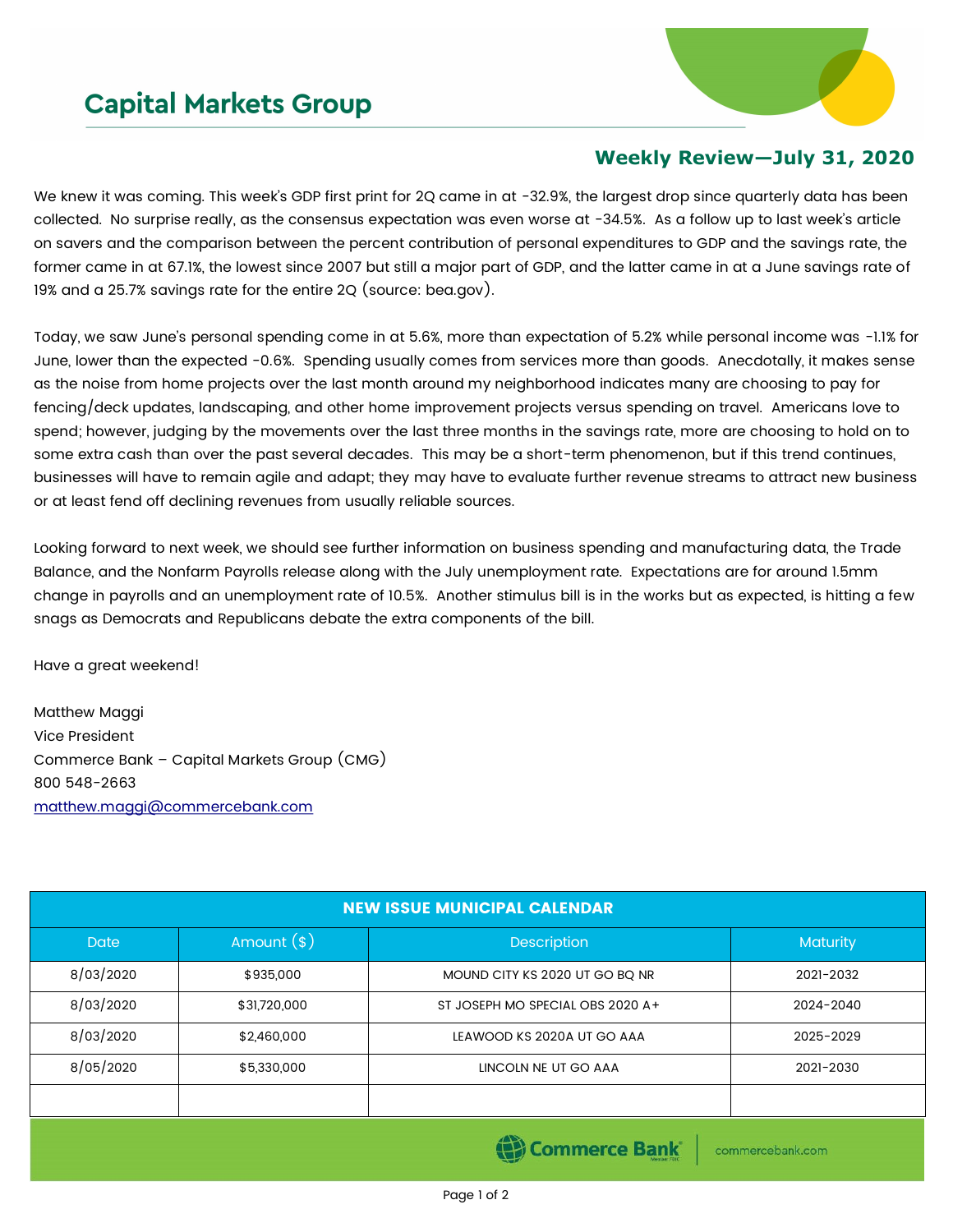## **Capital Markets Group**



## **Weekly Review—July 31, 2020**

We knew it was coming. This week's GDP first print for 2Q came in at -32.9%, the largest drop since quarterly data has been collected. No surprise really, as the consensus expectation was even worse at -34.5%. As a follow up to last week's article on savers and the comparison between the percent contribution of personal expenditures to GDP and the savings rate, the former came in at 67.1%, the lowest since 2007 but still a major part of GDP, and the latter came in at a June savings rate of 19% and a 25.7% savings rate for the entire 2Q (source: bea.gov).

Today, we saw June's personal spending come in at 5.6%, more than expectation of 5.2% while personal income was -1.1% for June, lower than the expected -0.6%. Spending usually comes from services more than goods. Anecdotally, it makes sense as the noise from home projects over the last month around my neighborhood indicates many are choosing to pay for fencing/deck updates, landscaping, and other home improvement projects versus spending on travel. Americans love to spend; however, judging by the movements over the last three months in the savings rate, more are choosing to hold on to some extra cash than over the past several decades. This may be a short-term phenomenon, but if this trend continues, businesses will have to remain agile and adapt; they may have to evaluate further revenue streams to attract new business or at least fend off declining revenues from usually reliable sources.

Looking forward to next week, we should see further information on business spending and manufacturing data, the Trade Balance, and the Nonfarm Payrolls release along with the July unemployment rate. Expectations are for around 1.5mm change in payrolls and an unemployment rate of 10.5%. Another stimulus bill is in the works but as expected, is hitting a few snags as Democrats and Republicans debate the extra components of the bill.

Have a great weekend!

Matthew Maggi Vice President Commerce Bank – Capital Markets Group (CMG) 800 548-2663 [matthew.maggi@commercebank.com](mailto:matthew.maggi@commercebank.com)

| <b>NEW ISSUE MUNICIPAL CALENDAR</b> |              |                                  |           |  |  |  |  |  |
|-------------------------------------|--------------|----------------------------------|-----------|--|--|--|--|--|
| <b>Date</b>                         | Amount $(*)$ | <b>Description</b>               |           |  |  |  |  |  |
| 8/03/2020                           | \$935,000    | MOUND CITY KS 2020 UT GO BO NR   | 2021-2032 |  |  |  |  |  |
| 8/03/2020                           | \$31,720,000 | ST JOSEPH MO SPECIAL OBS 2020 A+ | 2024-2040 |  |  |  |  |  |
| 8/03/2020                           | \$2,460,000  | LEAWOOD KS 2020A UT GO AAA       | 2025-2029 |  |  |  |  |  |
| 8/05/2020                           | \$5,330,000  | LINCOLN NE UT GO AAA             | 2021-2030 |  |  |  |  |  |
|                                     |              |                                  |           |  |  |  |  |  |
|                                     |              |                                  |           |  |  |  |  |  |

(B) Commerce Bank